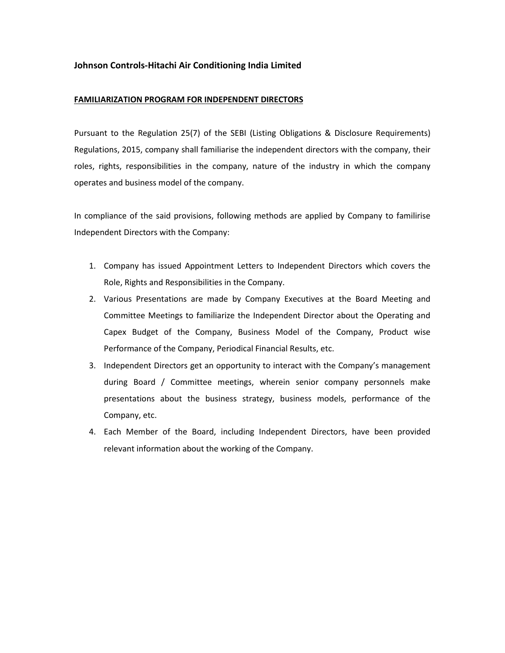## **Johnson Controls-Hitachi Air Conditioning India Limited**

## **FAMILIARIZATION PROGRAM FOR INDEPENDENT DIRECTORS**

Pursuant to the Regulation 25(7) of the SEBI (Listing Obligations & Disclosure Requirements) Regulations, 2015, company shall familiarise the independent directors with the company, their roles, rights, responsibilities in the company, nature of the industry in which the company operates and business model of the company.

In compliance of the said provisions, following methods are applied by Company to familirise Independent Directors with the Company:

- 1. Company has issued Appointment Letters to Independent Directors which covers the Role, Rights and Responsibilities in the Company.
- 2. Various Presentations are made by Company Executives at the Board Meeting and Committee Meetings to familiarize the Independent Director about the Operating and Capex Budget of the Company, Business Model of the Company, Product wise Performance of the Company, Periodical Financial Results, etc.
- 3. Independent Directors get an opportunity to interact with the Company's management during Board / Committee meetings, wherein senior company personnels make presentations about the business strategy, business models, performance of the Company, etc.
- 4. Each Member of the Board, including Independent Directors, have been provided relevant information about the working of the Company.